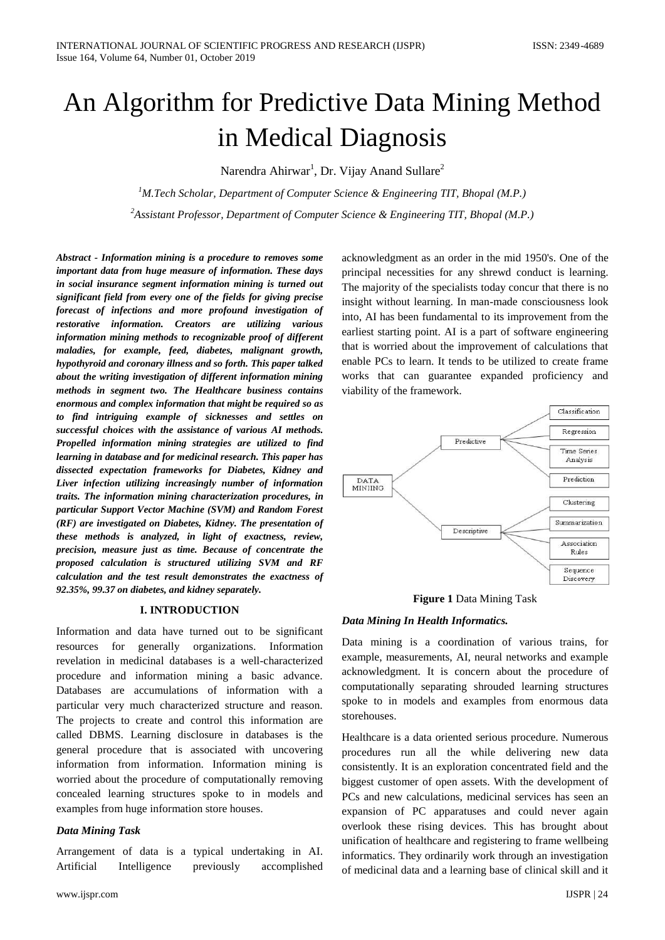# An Algorithm for Predictive Data Mining Method in Medical Diagnosis

Narendra Ahirwar<sup>1</sup>, Dr. Vijay Anand Sullare<sup>2</sup>

*<sup>1</sup>M.Tech Scholar, Department of Computer Science & Engineering TIT, Bhopal (M.P.) <sup>2</sup>Assistant Professor, Department of Computer Science & Engineering TIT, Bhopal (M.P.)*

*Abstract - Information mining is a procedure to removes some important data from huge measure of information. These days in social insurance segment information mining is turned out significant field from every one of the fields for giving precise forecast of infections and more profound investigation of restorative information. Creators are utilizing various information mining methods to recognizable proof of different maladies, for example, feed, diabetes, malignant growth, hypothyroid and coronary illness and so forth. This paper talked about the writing investigation of different information mining methods in segment two. The Healthcare business contains enormous and complex information that might be required so as to find intriguing example of sicknesses and settles on successful choices with the assistance of various AI methods. Propelled information mining strategies are utilized to find learning in database and for medicinal research. This paper has dissected expectation frameworks for Diabetes, Kidney and Liver infection utilizing increasingly number of information traits. The information mining characterization procedures, in particular Support Vector Machine (SVM) and Random Forest (RF) are investigated on Diabetes, Kidney. The presentation of these methods is analyzed, in light of exactness, review, precision, measure just as time. Because of concentrate the proposed calculation is structured utilizing SVM and RF calculation and the test result demonstrates the exactness of 92.35%, 99.37 on diabetes, and kidney separately.*

## **I. INTRODUCTION**

Information and data have turned out to be significant resources for generally organizations. Information revelation in medicinal databases is a well-characterized procedure and information mining a basic advance. Databases are accumulations of information with a particular very much characterized structure and reason. The projects to create and control this information are called DBMS. Learning disclosure in databases is the general procedure that is associated with uncovering information from information. Information mining is worried about the procedure of computationally removing concealed learning structures spoke to in models and examples from huge information store houses.

## *Data Mining Task*

Arrangement of data is a typical undertaking in AI. Artificial Intelligence previously accomplished acknowledgment as an order in the mid 1950's. One of the principal necessities for any shrewd conduct is learning. The majority of the specialists today concur that there is no insight without learning. In man-made consciousness look into, AI has been fundamental to its improvement from the earliest starting point. AI is a part of software engineering that is worried about the improvement of calculations that enable PCs to learn. It tends to be utilized to create frame works that can guarantee expanded proficiency and viability of the framework.



**Figure 1** Data Mining Task

## *Data Mining In Health Informatics.*

Data mining is a coordination of various trains, for example, measurements, AI, neural networks and example acknowledgment. It is concern about the procedure of computationally separating shrouded learning structures spoke to in models and examples from enormous data storehouses.

Healthcare is a data oriented serious procedure. Numerous procedures run all the while delivering new data consistently. It is an exploration concentrated field and the biggest customer of open assets. With the development of PCs and new calculations, medicinal services has seen an expansion of PC apparatuses and could never again overlook these rising devices. This has brought about unification of healthcare and registering to frame wellbeing informatics. They ordinarily work through an investigation of medicinal data and a learning base of clinical skill and it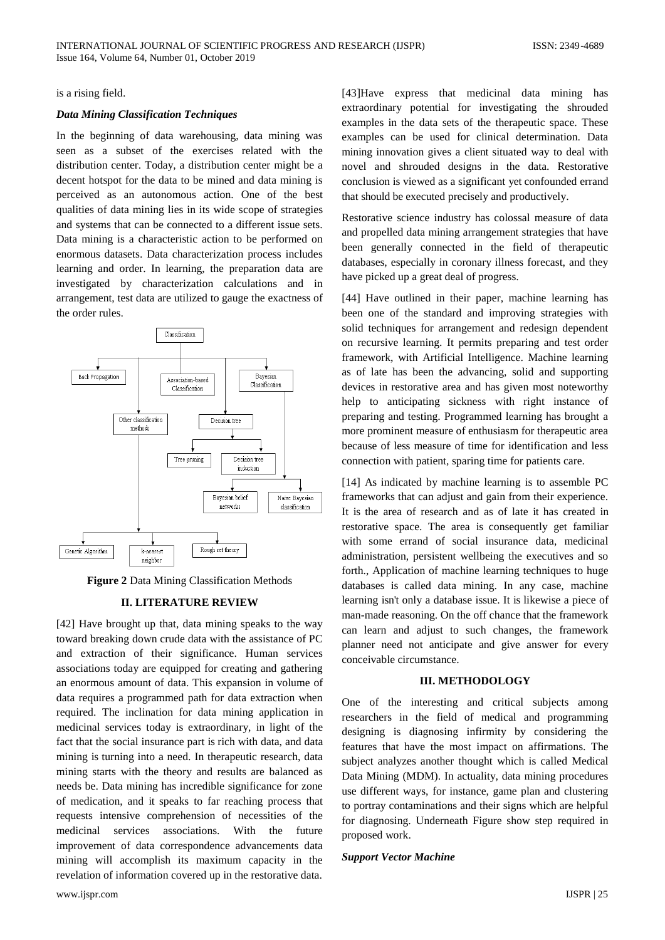is a rising field.

# *Data Mining Classification Techniques*

In the beginning of data warehousing, data mining was seen as a subset of the exercises related with the distribution center. Today, a distribution center might be a decent hotspot for the data to be mined and data mining is perceived as an autonomous action. One of the best qualities of data mining lies in its wide scope of strategies and systems that can be connected to a different issue sets. Data mining is a characteristic action to be performed on enormous datasets. Data characterization process includes learning and order. In learning, the preparation data are investigated by characterization calculations and in arrangement, test data are utilized to gauge the exactness of the order rules.



**Figure 2** Data Mining Classification Methods

# **II. LITERATURE REVIEW**

[42] Have brought up that, data mining speaks to the way toward breaking down crude data with the assistance of PC and extraction of their significance. Human services associations today are equipped for creating and gathering an enormous amount of data. This expansion in volume of data requires a programmed path for data extraction when required. The inclination for data mining application in medicinal services today is extraordinary, in light of the fact that the social insurance part is rich with data, and data mining is turning into a need. In therapeutic research, data mining starts with the theory and results are balanced as needs be. Data mining has incredible significance for zone of medication, and it speaks to far reaching process that requests intensive comprehension of necessities of the medicinal services associations. With the future improvement of data correspondence advancements data mining will accomplish its maximum capacity in the revelation of information covered up in the restorative data.

[43]Have express that medicinal data mining has extraordinary potential for investigating the shrouded examples in the data sets of the therapeutic space. These examples can be used for clinical determination. Data mining innovation gives a client situated way to deal with novel and shrouded designs in the data. Restorative conclusion is viewed as a significant yet confounded errand that should be executed precisely and productively.

Restorative science industry has colossal measure of data and propelled data mining arrangement strategies that have been generally connected in the field of therapeutic databases, especially in coronary illness forecast, and they have picked up a great deal of progress.

[44] Have outlined in their paper, machine learning has been one of the standard and improving strategies with solid techniques for arrangement and redesign dependent on recursive learning. It permits preparing and test order framework, with Artificial Intelligence. Machine learning as of late has been the advancing, solid and supporting devices in restorative area and has given most noteworthy help to anticipating sickness with right instance of preparing and testing. Programmed learning has brought a more prominent measure of enthusiasm for therapeutic area because of less measure of time for identification and less connection with patient, sparing time for patients care.

[14] As indicated by machine learning is to assemble PC frameworks that can adjust and gain from their experience. It is the area of research and as of late it has created in restorative space. The area is consequently get familiar with some errand of social insurance data, medicinal administration, persistent wellbeing the executives and so forth., Application of machine learning techniques to huge databases is called data mining. In any case, machine learning isn't only a database issue. It is likewise a piece of man-made reasoning. On the off chance that the framework can learn and adjust to such changes, the framework planner need not anticipate and give answer for every conceivable circumstance.

# **III. METHODOLOGY**

One of the interesting and critical subjects among researchers in the field of medical and programming designing is diagnosing infirmity by considering the features that have the most impact on affirmations. The subject analyzes another thought which is called Medical Data Mining (MDM). In actuality, data mining procedures use different ways, for instance, game plan and clustering to portray contaminations and their signs which are helpful for diagnosing. Underneath Figure show step required in proposed work.

#### *Support Vector Machine*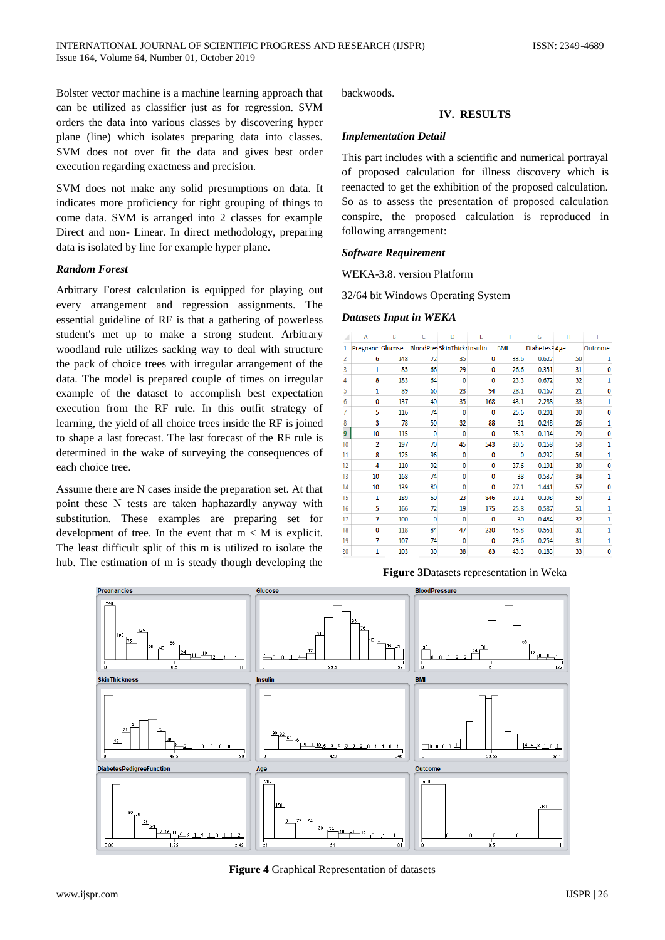Bolster vector machine is a machine learning approach that can be utilized as classifier just as for regression. SVM orders the data into various classes by discovering hyper plane (line) which isolates preparing data into classes. SVM does not over fit the data and gives best order execution regarding exactness and precision.

SVM does not make any solid presumptions on data. It indicates more proficiency for right grouping of things to come data. SVM is arranged into 2 classes for example Direct and non- Linear. In direct methodology, preparing data is isolated by line for example hyper plane.

## *Random Forest*

Arbitrary Forest calculation is equipped for playing out every arrangement and regression assignments. The essential guideline of RF is that a gathering of powerless student's met up to make a strong student. Arbitrary woodland rule utilizes sacking way to deal with structure the pack of choice trees with irregular arrangement of the data. The model is prepared couple of times on irregular example of the dataset to accomplish best expectation execution from the RF rule. In this outfit strategy of learning, the yield of all choice trees inside the RF is joined to shape a last forecast. The last forecast of the RF rule is determined in the wake of surveying the consequences of each choice tree.

Assume there are N cases inside the preparation set. At that point these N tests are taken haphazardly anyway with substitution. These examples are preparing set for development of tree. In the event that  $m < M$  is explicit. The least difficult split of this m is utilized to isolate the hub. The estimation of m is steady though developing the backwoods.

## **IV. RESULTS**

#### *Implementation Detail*

This part includes with a scientific and numerical portrayal of proposed calculation for illness discovery which is reenacted to get the exhibition of the proposed calculation. So as to assess the presentation of proposed calculation conspire, the proposed calculation is reproduced in following arrangement:

#### *Software Requirement*

WEKA-3.8. version Platform

32/64 bit Windows Operating System

#### *Datasets Input in WEKA*

|    | А                 | B   | C        | D                                  | E            | F          | G            | н  |         |
|----|-------------------|-----|----------|------------------------------------|--------------|------------|--------------|----|---------|
|    | Pregnanci Glucose |     |          | <b>BloodPresSkinThicki Insulin</b> |              | <b>BMI</b> | DiabetesPAge |    | Outcome |
| 2  | 6                 | 148 | 72       | 35                                 | 0            | 33.6       | 0.627        | 50 |         |
| 3  | 1                 | 85  | 66       | 29                                 | 0            | 26.6       | 0.351        | 31 | 0       |
| 4  | 8                 | 183 | 64       | $\mathbf{0}$                       | 0            | 23.3       | 0.672        | 32 | 1       |
| 5  | 1                 | 89  | 66       | 23                                 | 94           | 28.1       | 0.167        | 21 | 0       |
| 6  | $\mathbf{0}$      | 137 | 40       | 35                                 | 168          | 43.1       | 2.288        | 33 |         |
|    | 5                 | 116 | 74       | $\Omega$                           | 0            | 25.6       | 0.201        | 30 | 0       |
| 8  | 3                 | 78  | 50       | 32                                 | 88           | 31         | 0.248        | 26 | 1       |
| 9  | 10                | 115 | $\Omega$ | 0                                  | 0            | 35.3       | 0.134        | 29 | 0       |
| 10 | $\overline{2}$    | 197 | 70       | 45                                 | 543          | 30.5       | 0.158        | 53 | 1       |
| 11 | 8                 | 125 | 96       | 0                                  | 0            | 0          | 0.232        | 54 |         |
| 12 | 4                 | 110 | 92       | 0                                  | 0            | 37.6       | 0.191        | 30 | 0       |
| 13 | 10                | 168 | 74       | $\bf{0}$                           | 0            | 38         | 0.537        | 34 | 1       |
| 14 | 10                | 139 | 80       | $\mathbf{0}$                       | 0            | 27.1       | 1.441        | 57 | n       |
| 15 | 1                 | 189 | 60       | 23                                 | 846          | 30.1       | 0.398        | 59 | 1       |
| 16 | 5                 | 166 | 72       | 19                                 | 175          | 25.8       | 0.587        | 51 |         |
| 17 | 7                 | 100 | $\Omega$ | $\mathbf{0}$                       | 0            | 30         | 0.484        | 32 | 1       |
| 18 | 0                 | 118 | 84       | 47                                 | 230          | 45.8       | 0.551        | 31 | 1       |
| 19 | 7                 | 107 | 74       | $\mathbf{0}$                       | $\mathbf{0}$ | 29.6       | 0.254        | 31 |         |
| 20 | 1                 | 103 | 30       | 38                                 | 83           | 43.3       | 0.183        | 33 | 0       |

**Figure 3**Datasets representation in Weka



**Figure 4** Graphical Representation of datasets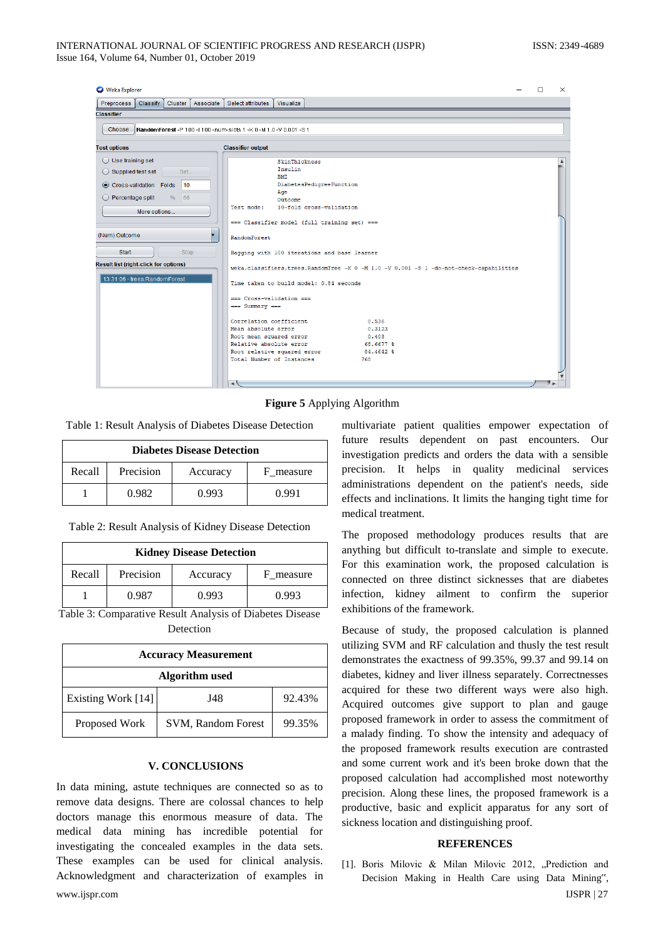| <b>O</b> Weka Explorer                                                                                                                                 | п                                                                                                                                                                                                                                                       | $\times$ |
|--------------------------------------------------------------------------------------------------------------------------------------------------------|---------------------------------------------------------------------------------------------------------------------------------------------------------------------------------------------------------------------------------------------------------|----------|
| Preprocess<br>Classify<br>Associate<br>Cluster                                                                                                         | Select attributes<br>Visualize                                                                                                                                                                                                                          |          |
| <b>Classifier</b>                                                                                                                                      |                                                                                                                                                                                                                                                         |          |
| <b>RandomForest</b> -P 100 -1100 -num-slots 1 -K 0 -M 1.0 -V 0.001 -S 1<br>Choose                                                                      |                                                                                                                                                                                                                                                         |          |
| <b>Test options</b>                                                                                                                                    | <b>Classifier output</b>                                                                                                                                                                                                                                |          |
| ◯ Use training set<br>$\bigcirc$ Supplied test set<br>Set<br>Cross-validation Folds<br>10<br>◯ Percentage split<br>66<br>$\frac{0}{6}$<br>More options | SkinThickness<br>Insulin<br><b>BMT</b><br>DiabetesPedigreeFunction<br>Age<br>Outcome<br>10-fold cross-validation<br>Test mode:<br>=== Classifier model (full training set) ===                                                                          |          |
| (Num) Outcome<br>▼<br>Start<br>Stop                                                                                                                    | <b>RandomForest</b><br>Bagging with 100 iterations and base learner                                                                                                                                                                                     |          |
| <b>Result list (right-click for options)</b><br>13:31:06 - trees.RandomForest                                                                          | weka.classifiers.trees.RandomTree -K 0 -M 1.0 -V 0.001 -S 1 -do-not-check-capabilities<br>Time taken to build model: 0.84 seconds<br>=== Cross-validation ===<br>$==$ Summary $==$<br>Correlation coefficient<br>0.536<br>Mean absolute error<br>0.3123 |          |
|                                                                                                                                                        | Root mean squared error<br>0.403<br>Relative absolute error<br>68.6677 %<br>Root relative squared error<br>84.4642 %<br>Total Number of Instances<br>768<br>$\rightarrow$                                                                               |          |

**Figure 5** Applying Algorithm

Table 1: Result Analysis of Diabetes Disease Detection

| <b>Diabetes Disease Detection</b> |           |          |           |  |  |
|-----------------------------------|-----------|----------|-----------|--|--|
| Recall                            | Precision | Accuracy | F measure |  |  |
|                                   | 0.982     | 0.993    | 0.991     |  |  |

Table 2: Result Analysis of Kidney Disease Detection

|        | <b>Kidney Disease Detection</b> |          |         |  |  |
|--------|---------------------------------|----------|---------|--|--|
| Recall | Precision                       | Accuracy | measure |  |  |
|        | 0.987                           | 0.993    | 0.993   |  |  |

Table 3: Comparative Result Analysis of Diabetes Disease Detection

| <b>Accuracy Measurement</b> |                           |        |  |  |  |
|-----------------------------|---------------------------|--------|--|--|--|
| <b>Algorithm</b> used       |                           |        |  |  |  |
| Existing Work [14]          | J48                       | 92.43% |  |  |  |
| Proposed Work               | <b>SVM, Random Forest</b> | 99.35% |  |  |  |

## **V. CONCLUSIONS**

www.ijspr.com IJSPR | 27 In data mining, astute techniques are connected so as to remove data designs. There are colossal chances to help doctors manage this enormous measure of data. The medical data mining has incredible potential for investigating the concealed examples in the data sets. These examples can be used for clinical analysis. Acknowledgment and characterization of examples in

multivariate patient qualities empower expectation of future results dependent on past encounters. Our investigation predicts and orders the data with a sensible precision. It helps in quality medicinal services administrations dependent on the patient's needs, side effects and inclinations. It limits the hanging tight time for medical treatment.

The proposed methodology produces results that are anything but difficult to-translate and simple to execute. For this examination work, the proposed calculation is connected on three distinct sicknesses that are diabetes infection, kidney ailment to confirm the superior exhibitions of the framework.

Because of study, the proposed calculation is planned utilizing SVM and RF calculation and thusly the test result demonstrates the exactness of 99.35%, 99.37 and 99.14 on diabetes, kidney and liver illness separately. Correctnesses acquired for these two different ways were also high. Acquired outcomes give support to plan and gauge proposed framework in order to assess the commitment of a malady finding. To show the intensity and adequacy of the proposed framework results execution are contrasted and some current work and it's been broke down that the proposed calculation had accomplished most noteworthy precision. Along these lines, the proposed framework is a productive, basic and explicit apparatus for any sort of sickness location and distinguishing proof.

#### **REFERENCES**

[1]. Boris Milovic & Milan Milovic 2012, "Prediction and Decision Making in Health Care using Data Mining",